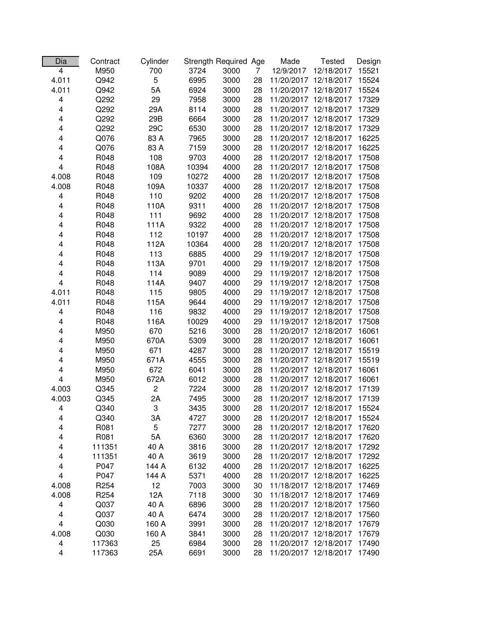| Dia                     | Contract         | Cylinder       |       | Strength Required Age |                | Made                  | <b>Tested</b> | Design |
|-------------------------|------------------|----------------|-------|-----------------------|----------------|-----------------------|---------------|--------|
| 4                       | M950             | 700            | 3724  | 3000                  | $\overline{7}$ | 12/9/2017             | 12/18/2017    | 15521  |
| 4.011                   | Q942             | 5              | 6995  | 3000                  | 28             | 11/20/2017            | 12/18/2017    | 15524  |
| 4.011                   | Q942             | 5A             | 6924  | 3000                  | 28             | 11/20/2017            | 12/18/2017    | 15524  |
| 4                       | Q292             | 29             | 7958  | 3000                  | 28             | 11/20/2017            | 12/18/2017    | 17329  |
| 4                       | Q292             | 29A            | 8114  | 3000                  | 28             | 11/20/2017            | 12/18/2017    | 17329  |
| 4                       | Q292             | 29B            | 6664  | 3000                  | 28             | 11/20/2017 12/18/2017 |               | 17329  |
| 4                       | Q292             | 29C            | 6530  | 3000                  | 28             | 11/20/2017 12/18/2017 |               | 17329  |
| 4                       | Q076             | 83 A           | 7965  | 3000                  | 28             | 11/20/2017 12/18/2017 |               | 16225  |
| 4                       | Q076             | 83 A           | 7159  | 3000                  | 28             | 11/20/2017 12/18/2017 |               | 16225  |
| 4                       | R048             | 108            | 9703  | 4000                  | 28             | 11/20/2017 12/18/2017 |               | 17508  |
| 4                       | R048             | 108A           | 10394 | 4000                  | 28             | 11/20/2017 12/18/2017 |               | 17508  |
| 4.008                   | R048             | 109            | 10272 | 4000                  | 28             | 11/20/2017 12/18/2017 |               | 17508  |
| 4.008                   | R048             | 109A           | 10337 | 4000                  | 28             | 11/20/2017 12/18/2017 |               | 17508  |
| 4                       | R048             | 110            | 9202  | 4000                  | 28             | 11/20/2017 12/18/2017 |               | 17508  |
| 4                       | R048             | 110A           | 9311  | 4000                  | 28             | 11/20/2017 12/18/2017 |               | 17508  |
| 4                       | R048             | 111            | 9692  | 4000                  | 28             | 11/20/2017 12/18/2017 |               | 17508  |
| 4                       | R048             | 111A           | 9322  | 4000                  | 28             | 11/20/2017 12/18/2017 |               | 17508  |
| 4                       | R048             | 112            | 10197 | 4000                  | 28             | 11/20/2017 12/18/2017 |               | 17508  |
| 4                       | R048             | 112A           | 10364 | 4000                  | 28             | 11/20/2017 12/18/2017 |               | 17508  |
| 4                       | R048             | 113            | 6885  | 4000                  | 29             | 11/19/2017            | 12/18/2017    | 17508  |
| 4                       | R048             | 113A           | 9701  | 4000                  | 29             | 11/19/2017            | 12/18/2017    | 17508  |
| 4                       | R048             | 114            | 9089  | 4000                  | 29             | 11/19/2017            | 12/18/2017    | 17508  |
| 4                       | R048             | 114A           | 9407  | 4000                  | 29             | 11/19/2017 12/18/2017 |               | 17508  |
| 4.011                   | R048             | 115            | 9805  | 4000                  | 29             | 11/19/2017 12/18/2017 |               | 17508  |
| 4.011                   | R048             | 115A           | 9644  | 4000                  | 29             | 11/19/2017 12/18/2017 |               | 17508  |
| 4                       | R048             | 116            | 9832  | 4000                  | 29             | 11/19/2017 12/18/2017 |               | 17508  |
| 4                       | R048             | 116A           | 10029 | 4000                  | 29             | 11/19/2017 12/18/2017 |               | 17508  |
| 4                       | M950             | 670            | 5216  | 3000                  | 28             | 11/20/2017 12/18/2017 |               | 16061  |
| 4                       | M950             | 670A           | 5309  | 3000                  | 28             | 11/20/2017 12/18/2017 |               | 16061  |
| 4                       | M950             | 671            | 4287  | 3000                  | 28             | 11/20/2017 12/18/2017 |               | 15519  |
| 4                       | M950             | 671A           | 4555  | 3000                  | 28             | 11/20/2017 12/18/2017 |               | 15519  |
| 4                       | M950             | 672            | 6041  | 3000                  | 28             | 11/20/2017 12/18/2017 |               | 16061  |
| $\overline{\mathbf{4}}$ | M950             | 672A           | 6012  | 3000                  | 28             | 11/20/2017 12/18/2017 |               | 16061  |
| 4.003                   | Q345             | $\overline{c}$ | 7224  | 3000                  | 28             | 11/20/2017 12/18/2017 |               | 17139  |
| 4.003                   | Q345             | 2A             | 7495  | 3000                  | 28             | 11/20/2017 12/18/2017 |               | 17139  |
| 4                       | Q340             | 3              | 3435  | 3000                  | 28             | 11/20/2017 12/18/2017 |               | 15524  |
| 4                       | Q340             | ЗA             | 4727  | 3000                  | 28             | 11/20/2017 12/18/2017 |               | 15524  |
| 4                       | R081             | 5              | 7277  | 3000                  | 28             | 11/20/2017 12/18/2017 |               | 17620  |
| 4                       | R081             | 5A             | 6360  | 3000                  | 28             | 11/20/2017 12/18/2017 |               | 17620  |
| 4                       | 111351           | 40 A           | 3816  | 3000                  | 28             | 11/20/2017 12/18/2017 |               | 17292  |
| 4                       | 111351           | 40 A           | 3619  | 3000                  | 28             | 11/20/2017 12/18/2017 |               | 17292  |
| 4                       | P047             | 144 A          | 6132  | 4000                  | 28             | 11/20/2017 12/18/2017 |               | 16225  |
| 4                       | P047             | 144 A          | 5371  | 4000                  | 28             | 11/20/2017 12/18/2017 |               | 16225  |
| 4.008                   | R <sub>254</sub> | 12             | 7003  | 3000                  | 30             | 11/18/2017 12/18/2017 |               | 17469  |
| 4.008                   | R <sub>254</sub> | 12A            | 7118  | 3000                  | 30             | 11/18/2017 12/18/2017 |               | 17469  |
| 4                       | Q037             | 40 A           | 6896  | 3000                  | 28             | 11/20/2017 12/18/2017 |               | 17560  |
| 4                       | Q037             | 40 A           | 6474  | 3000                  | 28             | 11/20/2017 12/18/2017 |               | 17560  |
| 4                       | Q030             | 160 A          | 3991  | 3000                  | 28             | 11/20/2017 12/18/2017 |               | 17679  |
| 4.008                   | Q030             | 160 A          | 3841  | 3000                  | 28             | 11/20/2017 12/18/2017 |               | 17679  |
| 4                       | 117363           | 25             | 6984  | 3000                  | 28             | 11/20/2017 12/18/2017 |               | 17490  |
| 4                       | 117363           | 25A            | 6691  | 3000                  | 28             | 11/20/2017 12/18/2017 |               | 17490  |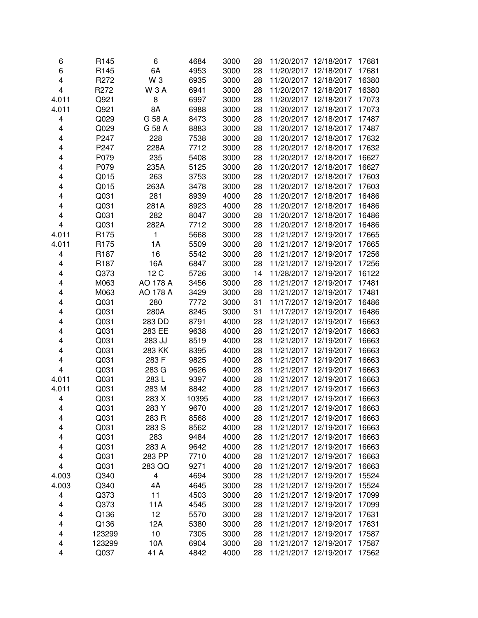| 6     | R145             | 6               | 4684  | 3000 | 28 |                                                | 11/20/2017 12/18/2017 | 17681 |
|-------|------------------|-----------------|-------|------|----|------------------------------------------------|-----------------------|-------|
| 6     | R145             | 6A              | 4953  | 3000 | 28 | 11/20/2017 12/18/2017                          |                       | 17681 |
| 4     | R272             | W <sub>3</sub>  | 6935  | 3000 | 28 | 11/20/2017 12/18/2017                          |                       | 16380 |
| 4     | R272             | W 3 A           | 6941  | 3000 | 28 | 11/20/2017 12/18/2017                          |                       | 16380 |
| 4.011 | Q921             | 8               | 6997  | 3000 | 28 | 11/20/2017                                     | 12/18/2017            | 17073 |
| 4.011 | Q921             | 8A              | 6988  | 3000 | 28 | 11/20/2017 12/18/2017                          |                       | 17073 |
| 4     | Q029             | G 58 A          | 8473  | 3000 | 28 |                                                | 11/20/2017 12/18/2017 | 17487 |
| 4     | Q029             | G 58 A          | 8883  | 3000 | 28 |                                                | 11/20/2017 12/18/2017 | 17487 |
| 4     | P247             | 228             | 7538  | 3000 | 28 |                                                | 11/20/2017 12/18/2017 | 17632 |
| 4     | P247             | 228A            | 7712  | 3000 | 28 |                                                | 11/20/2017 12/18/2017 | 17632 |
| 4     | P079             | 235             | 5408  | 3000 | 28 |                                                | 11/20/2017 12/18/2017 | 16627 |
| 4     | P079             | 235A            | 5125  | 3000 | 28 |                                                | 11/20/2017 12/18/2017 | 16627 |
| 4     | Q015             | 263             | 3753  | 3000 | 28 |                                                | 11/20/2017 12/18/2017 | 17603 |
| 4     | Q015             | 263A            | 3478  | 3000 | 28 |                                                | 11/20/2017 12/18/2017 | 17603 |
| 4     | Q031             | 281             | 8939  | 4000 | 28 |                                                | 11/20/2017 12/18/2017 | 16486 |
| 4     | Q031             | 281A            | 8923  | 4000 | 28 |                                                | 11/20/2017 12/18/2017 | 16486 |
| 4     | Q031             | 282             | 8047  | 3000 | 28 | 11/20/2017 12/18/2017                          |                       | 16486 |
| 4     | Q031             | 282A            | 7712  | 3000 | 28 | 11/20/2017 12/18/2017                          |                       | 16486 |
| 4.011 | R175             | 1               | 5668  | 3000 | 28 | 11/21/2017 12/19/2017                          |                       | 17665 |
| 4.011 | R175             | 1A              | 5509  | 3000 | 28 | 11/21/2017 12/19/2017                          |                       | 17665 |
| 4     | R <sub>187</sub> | 16              | 5542  | 3000 | 28 | 11/21/2017                                     | 12/19/2017            | 17256 |
| 4     | R187             | 16A             | 6847  | 3000 | 28 | 11/21/2017                                     | 12/19/2017            | 17256 |
| 4     | Q373             | 12 <sub>C</sub> | 5726  | 3000 | 14 | 11/28/2017                                     | 12/19/2017            | 16122 |
| 4     | M063             | AO 178 A        | 3456  | 3000 | 28 |                                                | 11/21/2017 12/19/2017 | 17481 |
| 4     | M063             | AO 178 A        | 3429  | 3000 | 28 |                                                | 11/21/2017 12/19/2017 | 17481 |
| 4     | Q031             | 280             | 7772  | 3000 | 31 |                                                | 11/17/2017 12/19/2017 | 16486 |
| 4     | Q031             | 280A            | 8245  | 3000 | 31 |                                                | 11/17/2017 12/19/2017 | 16486 |
| 4     | Q031             | 283 DD          | 8791  | 4000 | 28 |                                                | 11/21/2017 12/19/2017 | 16663 |
|       | Q031             |                 | 9638  |      | 28 |                                                | 11/21/2017 12/19/2017 |       |
| 4     |                  | 283 EE          |       | 4000 | 28 |                                                | 11/21/2017 12/19/2017 | 16663 |
| 4     | Q031             | 283 JJ          | 8519  | 4000 |    |                                                | 11/21/2017 12/19/2017 | 16663 |
| 4     | Q031             | 283 KK          | 8395  | 4000 | 28 |                                                |                       | 16663 |
| 4     | Q031             | 283 F           | 9825  | 4000 | 28 | 11/21/2017 12/19/2017<br>11/21/2017 12/19/2017 |                       | 16663 |
| 4     | Q031             | 283 G           | 9626  | 4000 | 28 |                                                |                       | 16663 |
| 4.011 | Q031             | 283L            | 9397  | 4000 | 28 | 11/21/2017 12/19/2017                          |                       | 16663 |
| 4.011 | Q031             | 283 M           | 8842  | 4000 | 28 | 11/21/2017 12/19/2017                          |                       | 16663 |
| 4     | Q031             | 283 X           | 10395 | 4000 | 28 | 11/21/2017 12/19/2017                          |                       | 16663 |
| 4     | Q031             | 283 Y           | 9670  | 4000 | 28 | 11/21/2017 12/19/2017                          |                       | 16663 |
| 4     | Q031             | 283 R           | 8568  | 4000 | 28 | 11/21/2017 12/19/2017                          |                       | 16663 |
| 4     | Q031             | 283 S           | 8562  | 4000 | 28 | 11/21/2017 12/19/2017                          |                       | 16663 |
| 4     | Q031             | 283             | 9484  | 4000 | 28 | 11/21/2017 12/19/2017                          |                       | 16663 |
| 4     | Q031             | 283 A           | 9642  | 4000 | 28 |                                                | 11/21/2017 12/19/2017 | 16663 |
| 4     | Q031             | 283 PP          | 7710  | 4000 | 28 |                                                | 11/21/2017 12/19/2017 | 16663 |
| 4     | Q031             | 283 QQ          | 9271  | 4000 | 28 | 11/21/2017 12/19/2017                          |                       | 16663 |
| 4.003 | Q340             | 4               | 4694  | 3000 | 28 |                                                | 11/21/2017 12/19/2017 | 15524 |
| 4.003 | Q340             | 4A              | 4645  | 3000 | 28 |                                                | 11/21/2017 12/19/2017 | 15524 |
| 4     | Q373             | 11              | 4503  | 3000 | 28 |                                                | 11/21/2017 12/19/2017 | 17099 |
| 4     | Q373             | 11A             | 4545  | 3000 | 28 |                                                | 11/21/2017 12/19/2017 | 17099 |
| 4     | Q136             | 12              | 5570  | 3000 | 28 |                                                | 11/21/2017 12/19/2017 | 17631 |
| 4     | Q136             | 12A             | 5380  | 3000 | 28 |                                                | 11/21/2017 12/19/2017 | 17631 |
| 4     | 123299           | 10              | 7305  | 3000 | 28 | 11/21/2017 12/19/2017                          |                       | 17587 |
| 4     | 123299           | 10A             | 6904  | 3000 | 28 | 11/21/2017 12/19/2017                          |                       | 17587 |
| 4     | Q037             | 41 A            | 4842  | 4000 | 28 | 11/21/2017 12/19/2017                          |                       | 17562 |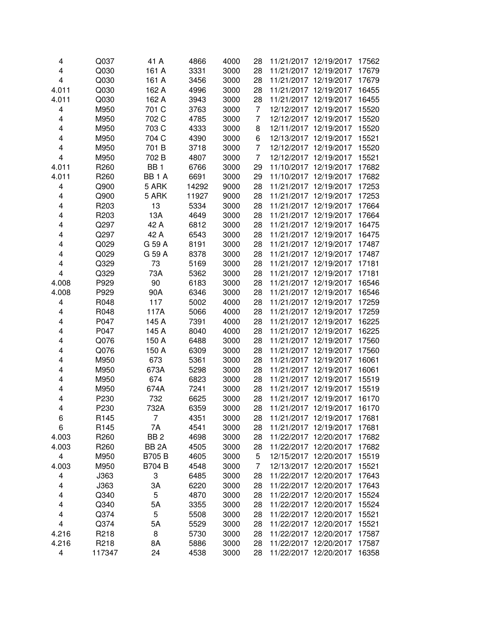| 4     | Q037   | 41 A              | 4866  | 4000 | 28             |                       | 11/21/2017 12/19/2017 | 17562 |
|-------|--------|-------------------|-------|------|----------------|-----------------------|-----------------------|-------|
| 4     | Q030   | 161 A             | 3331  | 3000 | 28             | 11/21/2017 12/19/2017 |                       | 17679 |
| 4     | Q030   | 161 A             | 3456  | 3000 | 28             | 11/21/2017 12/19/2017 |                       | 17679 |
| 4.011 | Q030   | 162 A             | 4996  | 3000 | 28             | 11/21/2017 12/19/2017 |                       | 16455 |
| 4.011 | Q030   | 162 A             | 3943  | 3000 | 28             | 11/21/2017            | 12/19/2017            | 16455 |
| 4     | M950   | 701 C             | 3763  | 3000 | 7              | 12/12/2017 12/19/2017 |                       | 15520 |
| 4     | M950   | 702 C             | 4785  | 3000 | 7              | 12/12/2017 12/19/2017 |                       | 15520 |
| 4     | M950   | 703 C             | 4333  | 3000 | 8              |                       | 12/11/2017 12/19/2017 | 15520 |
| 4     | M950   | 704 C             | 4390  | 3000 | 6              |                       | 12/13/2017 12/19/2017 | 15521 |
| 4     | M950   | 701 B             | 3718  | 3000 | $\overline{7}$ |                       | 12/12/2017 12/19/2017 | 15520 |
| 4     | M950   | 702 B             | 4807  | 3000 | $\overline{7}$ |                       | 12/12/2017 12/19/2017 | 15521 |
| 4.011 | R260   | BB <sub>1</sub>   | 6766  | 3000 | 29             |                       | 11/10/2017 12/19/2017 | 17682 |
| 4.011 | R260   | BB <sub>1</sub> A | 6691  | 3000 | 29             |                       | 11/10/2017 12/19/2017 | 17682 |
| 4     | Q900   | 5 ARK             | 14292 | 9000 | 28             |                       | 11/21/2017 12/19/2017 | 17253 |
| 4     | Q900   | 5 ARK             | 11927 | 9000 | 28             |                       | 11/21/2017 12/19/2017 | 17253 |
| 4     | R203   | 13                | 5334  | 3000 | 28             |                       | 11/21/2017 12/19/2017 | 17664 |
| 4     | R203   | 13A               | 4649  | 3000 | 28             |                       | 11/21/2017 12/19/2017 | 17664 |
| 4     | Q297   | 42 A              | 6812  | 3000 | 28             | 11/21/2017 12/19/2017 |                       | 16475 |
| 4     | Q297   | 42 A              | 6543  | 3000 | 28             | 11/21/2017 12/19/2017 |                       | 16475 |
| 4     | Q029   | G 59 A            | 8191  | 3000 | 28             | 11/21/2017 12/19/2017 |                       | 17487 |
| 4     | Q029   | G 59 A            | 8378  | 3000 | 28             | 11/21/2017            | 12/19/2017            | 17487 |
|       |        |                   |       |      |                |                       | 12/19/2017            |       |
| 4     | Q329   | 73                | 5169  | 3000 | 28             | 11/21/2017            |                       | 17181 |
| 4     | Q329   | 73A               | 5362  | 3000 | 28             | 11/21/2017            | 12/19/2017            | 17181 |
| 4.008 | P929   | 90                | 6183  | 3000 | 28             | 11/21/2017 12/19/2017 |                       | 16546 |
| 4.008 | P929   | 90A               | 6346  | 3000 | 28             |                       | 11/21/2017 12/19/2017 | 16546 |
| 4     | R048   | 117               | 5002  | 4000 | 28             |                       | 11/21/2017 12/19/2017 | 17259 |
| 4     | R048   | 117A              | 5066  | 4000 | 28             |                       | 11/21/2017 12/19/2017 | 17259 |
| 4     | P047   | 145 A             | 7391  | 4000 | 28             |                       | 11/21/2017 12/19/2017 | 16225 |
| 4     | P047   | 145 A             | 8040  | 4000 | 28             |                       | 11/21/2017 12/19/2017 | 16225 |
| 4     | Q076   | 150 A             | 6488  | 3000 | 28             |                       | 11/21/2017 12/19/2017 | 17560 |
| 4     | Q076   | 150 A             | 6309  | 3000 | 28             |                       | 11/21/2017 12/19/2017 | 17560 |
| 4     | M950   | 673               | 5361  | 3000 | 28             | 11/21/2017 12/19/2017 |                       | 16061 |
| 4     | M950   | 673A              | 5298  | 3000 | 28             | 11/21/2017 12/19/2017 |                       | 16061 |
| 4     | M950   | 674               | 6823  | 3000 | 28             | 11/21/2017 12/19/2017 |                       | 15519 |
| 4     | M950   | 674A              | 7241  | 3000 | 28             | 11/21/2017 12/19/2017 |                       | 15519 |
| 4     | P230   | 732               | 6625  | 3000 | 28             |                       | 11/21/2017 12/19/2017 | 16170 |
| 4     | P230   | 732A              | 6359  | 3000 | 28             | 11/21/2017 12/19/2017 |                       | 16170 |
| 6     | R145   | 7                 | 4351  | 3000 | 28             | 11/21/2017 12/19/2017 |                       | 17681 |
| 6     | R145   | 7Α                | 4541  | 3000 | 28             | 11/21/2017 12/19/2017 |                       | 17681 |
| 4.003 | R260   | BB <sub>2</sub>   | 4698  | 3000 | 28             | 11/22/2017 12/20/2017 |                       | 17682 |
| 4.003 | R260   | BB <sub>2</sub> A | 4505  | 3000 | 28             |                       | 11/22/2017 12/20/2017 | 17682 |
| 4     | M950   | <b>B705B</b>      | 4605  | 3000 | 5              |                       | 12/15/2017 12/20/2017 | 15519 |
| 4.003 | M950   | <b>B704 B</b>     | 4548  | 3000 | 7              |                       | 12/13/2017 12/20/2017 | 15521 |
| 4     | J363   | 3                 | 6485  | 3000 | 28             |                       | 11/22/2017 12/20/2017 | 17643 |
| 4     | J363   | ЗA                | 6220  | 3000 | 28             |                       | 11/22/2017 12/20/2017 | 17643 |
| 4     | Q340   | 5                 | 4870  | 3000 | 28             |                       | 11/22/2017 12/20/2017 | 15524 |
| 4     | Q340   | 5A                | 3355  | 3000 | 28             |                       | 11/22/2017 12/20/2017 | 15524 |
| 4     | Q374   | 5                 | 5508  | 3000 | 28             |                       | 11/22/2017 12/20/2017 | 15521 |
| 4     | Q374   | 5A                | 5529  | 3000 | 28             | 11/22/2017 12/20/2017 |                       | 15521 |
| 4.216 | R218   | 8                 | 5730  | 3000 | 28             | 11/22/2017 12/20/2017 |                       | 17587 |
| 4.216 | R218   | 8A                | 5886  | 3000 | 28             | 11/22/2017 12/20/2017 |                       | 17587 |
| 4     | 117347 | 24                | 4538  | 3000 | 28             | 11/22/2017 12/20/2017 |                       | 16358 |